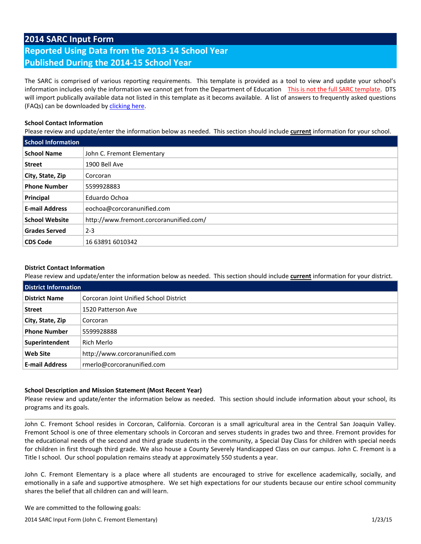## **2014 SARC Input Form**

# **Reported Using Data from the 2013-14 School Year Published During the 2014-15 School Year**

The SARC is comprised of various reporting requirements. This template is provided as a tool to view and update your school's information includes only the information we cannot get from the Department of Education This is not the full SARC template. DTS will import publically available data not listed in this template as it becoms available. A list of answers to frequently asked questions (FAQs) can be downloaded by [clicking](http://www.doc-tracking.com/screenshots/14SARC/FAQs.pdf) here.

#### **School Contact Information**

Please review and update/enter the information below as needed. This section should include **current** information for your school.

| <b>School Information</b> |                                         |
|---------------------------|-----------------------------------------|
| <b>School Name</b>        | John C. Fremont Elementary              |
| <b>Street</b>             | 1900 Bell Ave                           |
| City, State, Zip          | Corcoran                                |
| <b>Phone Number</b>       | 5599928883                              |
| Principal                 | Eduardo Ochoa                           |
| <b>E-mail Address</b>     | eochoa@corcoranunified.com              |
| <b>School Website</b>     | http://www.fremont.corcoranunified.com/ |
| <b>Grades Served</b>      | $2 - 3$                                 |
| <b>CDS Code</b>           | 16 63891 6010342                        |

## **District Contact Information**

Please review and update/enter the information below as needed. This section should include **current** information for your district.

| <b>District Information</b> |                                        |
|-----------------------------|----------------------------------------|
| <b>District Name</b>        | Corcoran Joint Unified School District |
| <b>Street</b>               | 1520 Patterson Ave                     |
| City, State, Zip            | Corcoran                               |
| <b>Phone Number</b>         | 5599928888                             |
| Superintendent              | Rich Merlo                             |
| <b>Web Site</b>             | http://www.corcoranunified.com         |
| <b>E-mail Address</b>       | rmerlo@corcoranunified.com             |

## **School Description and Mission Statement (Most Recent Year)**

Please review and update/enter the information below as needed. This section should include information about your school, its programs and its goals.

John C. Fremont School resides in Corcoran, California. Corcoran is a small agricultural area in the Central San Joaquin Valley. Fremont School is one of three elementary schools in Corcoran and serves students in grades two and three. Fremont provides for the educational needs of the second and third grade students in the community, a Special Day Class for children with special needs for children in first through third grade. We also house a County Severely Handicapped Class on our campus. John C. Fremont is a Title I school. Our school population remains steady at approximately 550 students a year.

John C. Fremont Elementary is a place where all students are encouraged to strive for excellence academically, socially, and emotionally in a safe and supportive atmosphere. We set high expectations for our students because our entire school community shares the belief that all children can and will learn.

We are committed to the following goals:

2014 SARC Input Form (John C. Fremont Elementary) 1/23/15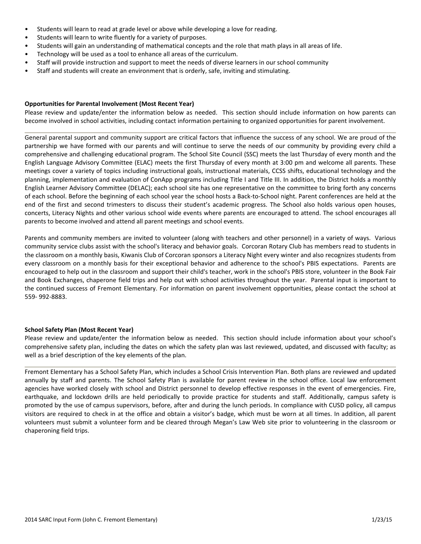- Students will learn to read at grade level or above while developing a love for reading.
- Students will learn to write fluently for a variety of purposes.
- Students will gain an understanding of mathematical concepts and the role that math plays in all areas of life.
- Technology will be used as a tool to enhance all areas of the curriculum.
- Staff will provide instruction and support to meet the needs of diverse learners in our school community
- Staff and students will create an environment that is orderly, safe, inviting and stimulating.

#### **Opportunities for Parental Involvement (Most Recent Year)**

Please review and update/enter the information below as needed. This section should include information on how parents can become involved in school activities, including contact information pertaining to organized opportunities for parent involvement.

General parental support and community support are critical factors that influence the success of any school. We are proud of the partnership we have formed with our parents and will continue to serve the needs of our community by providing every child a comprehensive and challenging educational program. The School Site Council (SSC) meets the last Thursday of every month and the English Language Advisory Committee (ELAC) meets the first Thursday of every month at 3:00 pm and welcome all parents. These meetings cover a variety of topics including instructional goals, instructional materials, CCSS shifts, educational technology and the planning, implementation and evaluation of ConApp programs including Title I and Title III. In addition, the District holds a monthly English Learner Advisory Committee (DELAC); each school site has one representative on the committee to bring forth any concerns of each school. Before the beginning of each school year the school hosts a Back-to-School night. Parent conferences are held at the end of the first and second trimesters to discuss their student's academic progress. The School also holds various open houses, concerts, Literacy Nights and other various school wide events where parents are encouraged to attend. The school encourages all parents to become involved and attend all parent meetings and school events.

Parents and community members are invited to volunteer (along with teachers and other personnel) in a variety of ways. Various community service clubs assist with the school's literacy and behavior goals. Corcoran Rotary Club has members read to students in the classroom on a monthly basis, Kiwanis Club of Corcoran sponsors a Literacy Night every winter and also recognizes students from every classroom on a monthly basis for their exceptional behavior and adherence to the school's PBIS expectations. Parents are encouraged to help out in the classroom and support their child's teacher, work in the school's PBIS store, volunteer in the Book Fair and Book Exchanges, chaperone field trips and help out with school activities throughout the year. Parental input is important to the continued success of Fremont Elementary. For information on parent involvement opportunities, please contact the school at 559- 992-8883.

#### **School Safety Plan (Most Recent Year)**

Please review and update/enter the information below as needed. This section should include information about your school's comprehensive safety plan, including the dates on which the safety plan was last reviewed, updated, and discussed with faculty; as well as a brief description of the key elements of the plan.

Fremont Elementary has a School Safety Plan, which includes a School Crisis Intervention Plan. Both plans are reviewed and updated annually by staff and parents. The School Safety Plan is available for parent review in the school office. Local law enforcement agencies have worked closely with school and District personnel to develop effective responses in the event of emergencies. Fire, earthquake, and lockdown drills are held periodically to provide practice for students and staff. Additionally, campus safety is promoted by the use of campus supervisors, before, after and during the lunch periods. In compliance with CUSD policy, all campus visitors are required to check in at the office and obtain a visitor's badge, which must be worn at all times. In addition, all parent volunteers must submit a volunteer form and be cleared through Megan's Law Web site prior to volunteering in the classroom or chaperoning field trips.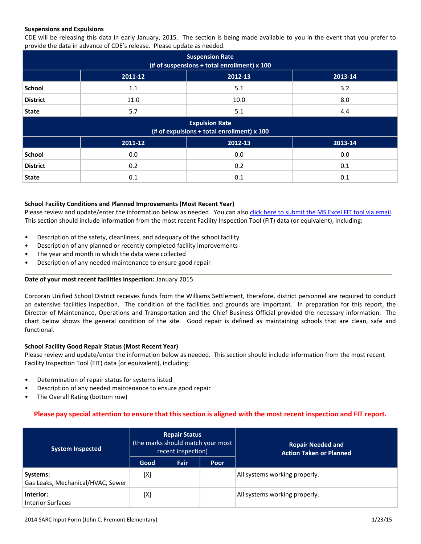#### **Suspensions and Expulsions**

CDE will be releasing this data in early January, 2015. The section is being made available to you in the event that you prefer to provide the data in advance of CDE's release. Please update as needed.

| <b>Suspension Rate</b><br>(# of suspensions $\div$ total enrollment) x 100 |                                                                          |         |         |  |  |  |  |  |
|----------------------------------------------------------------------------|--------------------------------------------------------------------------|---------|---------|--|--|--|--|--|
|                                                                            | 2011-12                                                                  | 2012-13 | 2013-14 |  |  |  |  |  |
| <b>School</b>                                                              | 1.1                                                                      | 5.1     | 3.2     |  |  |  |  |  |
| <b>District</b>                                                            | 11.0                                                                     | 10.0    | 8.0     |  |  |  |  |  |
| <b>State</b>                                                               | 5.7                                                                      | 5.1     | 4.4     |  |  |  |  |  |
|                                                                            | <b>Expulsion Rate</b><br>(# of expulsions $\div$ total enrollment) x 100 |         |         |  |  |  |  |  |
|                                                                            | 2011-12                                                                  | 2012-13 | 2013-14 |  |  |  |  |  |
| School                                                                     | 0.0                                                                      | 0.0     | 0.0     |  |  |  |  |  |
| <b>District</b>                                                            | 0.2                                                                      | 0.2     | 0.1     |  |  |  |  |  |
| <b>State</b>                                                               | 0.1                                                                      | 0.1     | 0.1     |  |  |  |  |  |

#### **School Facility Conditions and Planned Improvements (Most Recent Year)**

Please review and update/enter the information below as needed. You can also click here to [submit](mailto:sarchelp@doc-tracking.com?subject=MS%20Excel%20FIT%20Tool%20(Most%20Recent%20Inspection)%20for%20Import) the MS Excel FIT tool via email. This section should include information from the most recent Facility Inspection Tool (FIT) data (or equivalent), including:

- Description of the safety, cleanliness, and adequacy of the school facility
- Description of any planned or recently completed facility improvements
- The year and month in which the data were collected
- Description of any needed maintenance to ensure good repair

#### **Date of your most recent facilities inspection:** January 2015

Corcoran Unified School District receives funds from the Williams Settlement, therefore, district personnel are required to conduct an extensive facilities inspection. The condition of the facilities and grounds are important. In preparation for this report, the Director of Maintenance, Operations and Transportation and the Chief Business Official provided the necessary information. The chart below shows the general condition of the site. Good repair is defined as maintaining schools that are clean, safe and functional.

#### **School Facility Good Repair Status (Most Recent Year)**

Please review and update/enter the information below as needed. This section should include information from the most recent Facility Inspection Tool (FIT) data (or equivalent), including:

- Determination of repair status for systems listed
- Description of any needed maintenance to ensure good repair
- The Overall Rating (bottom row)

## Please pay special attention to ensure that this section is aligned with the most recent inspection and FIT report.

| <b>System Inspected</b>                       | <b>Repair Status</b><br>(the marks should match your most<br>recent inspection) |      |             | <b>Repair Needed and</b><br><b>Action Taken or Planned</b> |
|-----------------------------------------------|---------------------------------------------------------------------------------|------|-------------|------------------------------------------------------------|
|                                               | Good                                                                            | Fair | <b>Poor</b> |                                                            |
| Systems:<br>Gas Leaks, Mechanical/HVAC, Sewer | [X]                                                                             |      |             | All systems working properly.                              |
| Interior:<br>Interior Surfaces                | [X]                                                                             |      |             | All systems working properly.                              |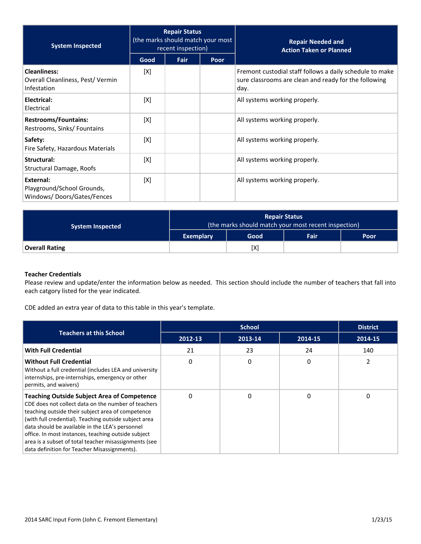| <b>System Inspected</b>                                                | <b>Repair Status</b><br>(the marks should match your most<br>recent inspection) |      |      | <b>Repair Needed and</b><br><b>Action Taken or Planned</b>                                                                |
|------------------------------------------------------------------------|---------------------------------------------------------------------------------|------|------|---------------------------------------------------------------------------------------------------------------------------|
|                                                                        | Good                                                                            | Fair | Poor |                                                                                                                           |
| <b>Cleanliness:</b><br>Overall Cleanliness, Pest/Vermin<br>Infestation | [X]                                                                             |      |      | Fremont custodial staff follows a daily schedule to make<br>sure classrooms are clean and ready for the following<br>day. |
| Electrical:<br>Electrical                                              | [X]                                                                             |      |      | All systems working properly.                                                                                             |
| <b>Restrooms/Fountains:</b><br>Restrooms, Sinks/Fountains              | [X]                                                                             |      |      | All systems working properly.                                                                                             |
| Safety:<br>Fire Safety, Hazardous Materials                            | [X]                                                                             |      |      | All systems working properly.                                                                                             |
| Structural:<br>Structural Damage, Roofs                                | [X]                                                                             |      |      | All systems working properly.                                                                                             |
| External:<br>Playground/School Grounds,<br>Windows/Doors/Gates/Fences  | [X]                                                                             |      |      | All systems working properly.                                                                                             |

| <b>System Inspected</b> | <b>Repair Status</b><br>(the marks should match your most recent inspection) |      |                   |      |
|-------------------------|------------------------------------------------------------------------------|------|-------------------|------|
|                         | Exemplary                                                                    | Good | Fair <sup>1</sup> | Poor |
| <b>Overall Rating</b>   |                                                                              | [X]  |                   |      |

## **Teacher Credentials**

Please review and update/enter the information below as needed. This section should include the number of teachers that fall into each catgory listed for the year indicated.

CDE added an extra year of data to this table in this year's template.

|                                                                                                                                                                                                                                                                                                                                                                                                                                            |         | <b>District</b> |         |         |
|--------------------------------------------------------------------------------------------------------------------------------------------------------------------------------------------------------------------------------------------------------------------------------------------------------------------------------------------------------------------------------------------------------------------------------------------|---------|-----------------|---------|---------|
| <b>Teachers at this School</b>                                                                                                                                                                                                                                                                                                                                                                                                             | 2012-13 | 2013-14         | 2014-15 | 2014-15 |
| <b>With Full Credential</b>                                                                                                                                                                                                                                                                                                                                                                                                                | 21      | 23              | 24      | 140     |
| <b>Without Full Credential</b><br>Without a full credential (includes LEA and university<br>internships, pre-internships, emergency or other<br>permits, and waivers)                                                                                                                                                                                                                                                                      | 0       | 0               | 0       |         |
| <b>Teaching Outside Subject Area of Competence</b><br>CDE does not collect data on the number of teachers<br>teaching outside their subject area of competence<br>(with full credential). Teaching outside subject area<br>data should be available in the LEA's personnel<br>office. In most instances, teaching outside subject<br>area is a subset of total teacher misassignments (see<br>data definition for Teacher Misassignments). | ∩       | ი               | 0       | 0       |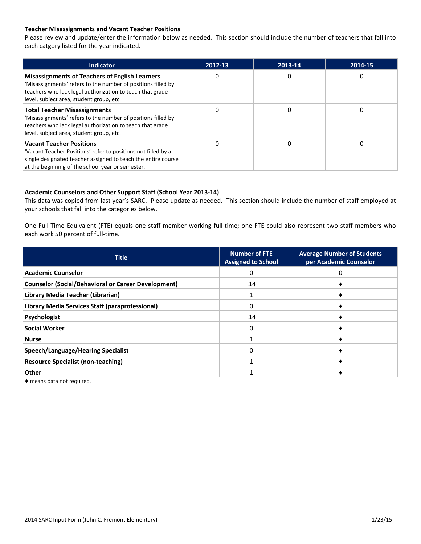### **Teacher Misassignments and Vacant Teacher Positions**

Please review and update/enter the information below as needed. This section should include the number of teachers that fall into each catgory listed for the year indicated.

| <b>Indicator</b>                                                                                                                                                                                                               | 2012-13 | 2013-14 | 2014-15 |
|--------------------------------------------------------------------------------------------------------------------------------------------------------------------------------------------------------------------------------|---------|---------|---------|
| <b>Misassignments of Teachers of English Learners</b><br>'Misassignments' refers to the number of positions filled by<br>teachers who lack legal authorization to teach that grade<br>level, subject area, student group, etc. | 0       | 0       | 0       |
| <b>Total Teacher Misassignments</b><br>'Misassignments' refers to the number of positions filled by<br>teachers who lack legal authorization to teach that grade<br>level, subject area, student group, etc.                   | 0       |         | O       |
| <b>Vacant Teacher Positions</b><br>'Vacant Teacher Positions' refer to positions not filled by a<br>single designated teacher assigned to teach the entire course<br>at the beginning of the school year or semester.          | 0       |         | 0       |

#### **Academic Counselors and Other Support Staff (School Year 2013-14)**

This data was copied from last year's SARC. Please update as needed. This section should include the number of staff employed at your schools that fall into the categories below.

One Full-Time Equivalent (FTE) equals one staff member working full-time; one FTE could also represent two staff members who each work 50 percent of full-time.

| <b>Title</b>                                               | <b>Number of FTE</b><br><b>Assigned to School</b> | <b>Average Number of Students</b><br>per Academic Counselor |
|------------------------------------------------------------|---------------------------------------------------|-------------------------------------------------------------|
| <b>Academic Counselor</b>                                  | 0                                                 |                                                             |
| <b>Counselor (Social/Behavioral or Career Development)</b> | .14                                               |                                                             |
| Library Media Teacher (Librarian)                          |                                                   |                                                             |
| Library Media Services Staff (paraprofessional)            | 0                                                 |                                                             |
| Psychologist                                               | .14                                               |                                                             |
| <b>Social Worker</b>                                       | 0                                                 |                                                             |
| <b>Nurse</b>                                               |                                                   |                                                             |
| Speech/Language/Hearing Specialist                         | 0                                                 |                                                             |
| <b>Resource Specialist (non-teaching)</b>                  |                                                   |                                                             |
| Other                                                      |                                                   |                                                             |

♦ means data not required.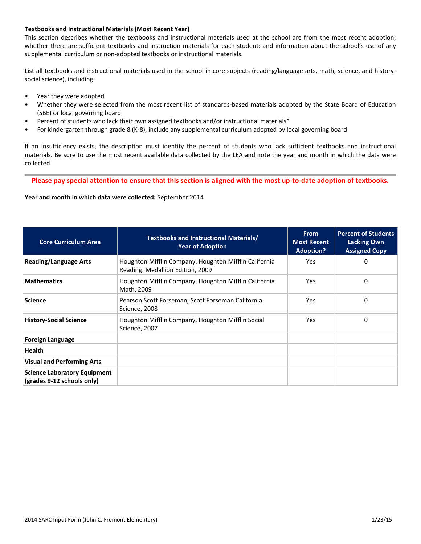#### **Textbooks and Instructional Materials (Most Recent Year)**

This section describes whether the textbooks and instructional materials used at the school are from the most recent adoption; whether there are sufficient textbooks and instruction materials for each student; and information about the school's use of any supplemental curriculum or non-adopted textbooks or instructional materials.

List all textbooks and instructional materials used in the school in core subjects (reading/language arts, math, science, and historysocial science), including:

- Year they were adopted
- Whether they were selected from the most recent list of standards-based materials adopted by the State Board of Education (SBE) or local governing board
- Percent of students who lack their own assigned textbooks and/or instructional materials\*
- For kindergarten through grade 8 (K-8), include any supplemental curriculum adopted by local governing board

If an insufficiency exists, the description must identify the percent of students who lack sufficient textbooks and instructional materials. Be sure to use the most recent available data collected by the LEA and note the year and month in which the data were collected.

Please pay special attention to ensure that this section is aligned with the most up-to-date adoption of textbooks.

**Year and month in which data were collected:** September 2014

| <b>Core Curriculum Area</b>                                       | <b>Textbooks and Instructional Materials/</b><br><b>Year of Adoption</b>                  | <b>From</b><br><b>Most Recent</b><br><b>Adoption?</b> | <b>Percent of Students</b><br><b>Lacking Own</b><br><b>Assigned Copy</b> |
|-------------------------------------------------------------------|-------------------------------------------------------------------------------------------|-------------------------------------------------------|--------------------------------------------------------------------------|
| <b>Reading/Language Arts</b>                                      | Houghton Mifflin Company, Houghton Mifflin California<br>Reading: Medallion Edition, 2009 | <b>Yes</b>                                            | 0                                                                        |
| <b>Mathematics</b>                                                | Houghton Mifflin Company, Houghton Mifflin California<br>Math, 2009                       | Yes                                                   | 0                                                                        |
| <b>Science</b>                                                    | Pearson Scott Forseman, Scott Forseman California<br>Science, 2008                        | <b>Yes</b>                                            | 0                                                                        |
| <b>History-Social Science</b>                                     | Houghton Mifflin Company, Houghton Mifflin Social<br>Science, 2007                        | <b>Yes</b>                                            | 0                                                                        |
| <b>Foreign Language</b>                                           |                                                                                           |                                                       |                                                                          |
| <b>Health</b>                                                     |                                                                                           |                                                       |                                                                          |
| <b>Visual and Performing Arts</b>                                 |                                                                                           |                                                       |                                                                          |
| <b>Science Laboratory Equipment</b><br>(grades 9-12 schools only) |                                                                                           |                                                       |                                                                          |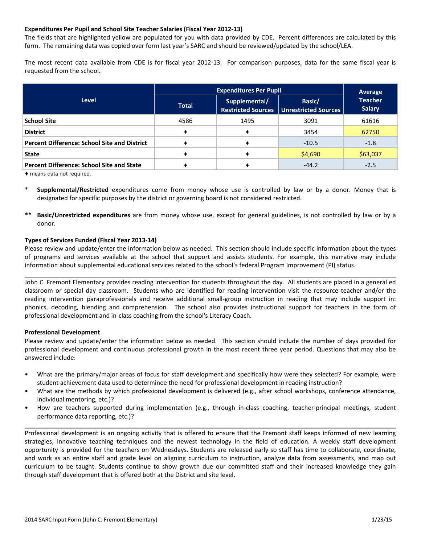#### **Expenditures Per Pupil and School Site Teacher Salaries (Fiscal Year 2012-13)**

The fields that are highlighted yellow are populated for you with data provided by CDE. Percent differences are calculated by this form. The remaining data was copied over form last year's SARC and should be reviewed/updated by the school/LEA.

The most recent data available from CDE is for fiscal year 2012-13. For comparison purposes, data for the same fiscal year is requested from the school.

|                                                     | <b>Expenditures Per Pupil</b> | Average       |                                                              |                                 |
|-----------------------------------------------------|-------------------------------|---------------|--------------------------------------------------------------|---------------------------------|
| <b>Level</b>                                        | <b>Total</b>                  | Supplemental/ | Basic/<br><b>Restricted Sources   Unrestricted Sources  </b> | <b>Teacher</b><br><b>Salary</b> |
| <b>School Site</b>                                  | 4586                          | 1495          | 3091                                                         | 61616                           |
| <b>District</b>                                     |                               |               | 3454                                                         | 62750                           |
| <b>Percent Difference: School Site and District</b> |                               |               | $-10.5$                                                      | $-1.8$                          |
| <b>State</b>                                        |                               |               | \$4,690                                                      | \$63,037                        |
| <b>Percent Difference: School Site and State</b>    |                               |               | $-44.2$                                                      | $-2.5$                          |

♦ means data not required.

- **Supplemental/Restricted** expenditures come from money whose use is controlled by law or by a donor. Money that is designated for specific purposes by the district or governing board is not considered restricted.
- **\*\* Basic/Unrestricted expenditures** are from money whose use, except for general guidelines, is not controlled by law or by a donor.

#### **Types of Services Funded (Fiscal Year 2013-14)**

Please review and update/enter the information below as needed. This section should include specific information about the types of programs and services available at the school that support and assists students. For example, this narrative may include information about supplemental educational services related to the school's federal Program Improvement (PI) status.

John C. Fremont Elementary provides reading intervention for students throughout the day. All students are placed in a general ed classroom or special day classroom. Students who are identified for reading intervention visit the resource teacher and/or the reading intervention paraprofessionals and receive additional small-group instruction in reading that may include support in: phonics, decoding, blending and comprehension. The school also provides instructional support for teachers in the form of professional development and in-class coaching from the school's Literacy Coach.

#### **Professional Development**

Please review and update/enter the information below as needed. This section should include the number of days provided for professional development and continuous professional growth in the most recent three year period. Questions that may also be answered include:

- What are the primary/major areas of focus for staff development and specifically how were they selected? For example, were student achievement data used to determinee the need for professional development in reading instruction?
- What are the methods by which professional development is delivered (e.g., after school workshops, conference attendance, individual mentoring, etc.)?
- How are teachers supported during implementation (e.g., through in-class coaching, teacher-principal meetings, student performance data reporting, etc.)?

Professional development is an ongoing activity that is offered to ensure that the Fremont staff keeps informed of new learning strategies, innovative teaching techniques and the newest technology in the field of education. A weekly staff development opportunity is provided for the teachers on Wednesdays. Students are released early so staff has time to collaborate, coordinate, and work as an entire staff and grade level on aligning curriculum to instruction, analyze data from assessments, and map out curriculum to be taught. Students continue to show growth due our committed staff and their increased knowledge they gain through staff development that is offered both at the District and site level.